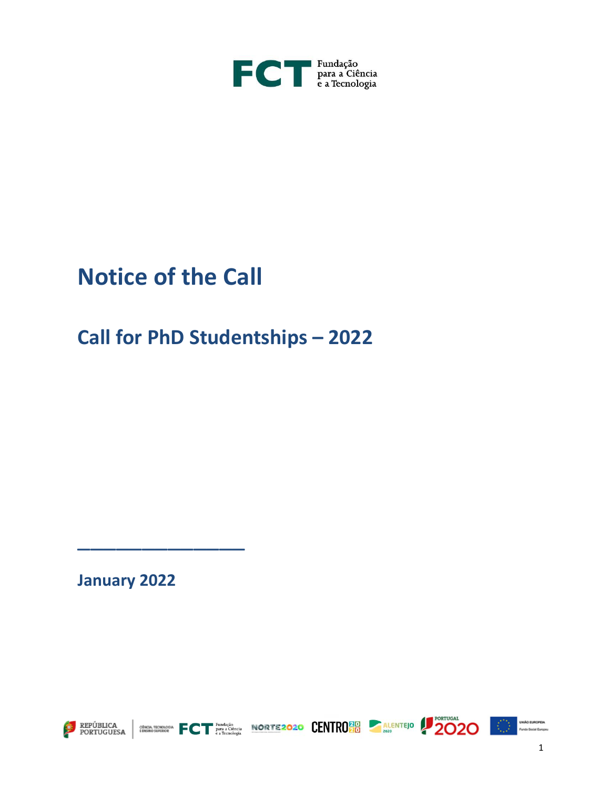

# **Notice of the Call**

# **Call for PhD Studentships – 2022**

**January 2022**

\_\_\_\_\_\_\_\_\_\_\_\_\_













1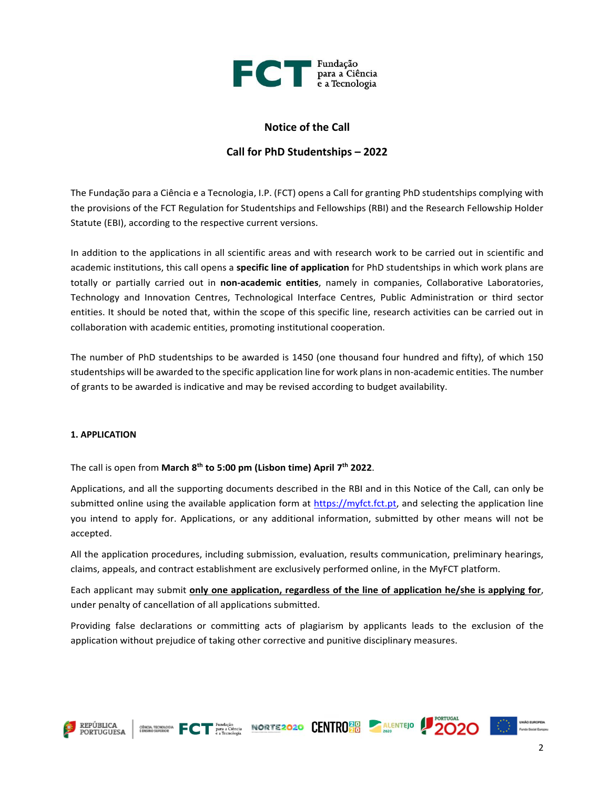

# **Notice of the Call**

# **Call for PhD Studentships – 2022**

The Fundação para a Ciência e a Tecnologia, I.P. (FCT) opens a Call for granting PhD studentships complying with the provisions of the FCT Regulation for Studentships and Fellowships (RBI) and the Research Fellowship Holder Statute (EBI), according to the respective current versions.

In addition to the applications in all scientific areas and with research work to be carried out in scientific and academic institutions, this call opens a **specific line of application** for PhD studentships in which work plans are totally or partially carried out in **non-academic entities**, namely in companies, Collaborative Laboratories, Technology and Innovation Centres, Technological Interface Centres, Public Administration or third sector entities. It should be noted that, within the scope of this specific line, research activities can be carried out in collaboration with academic entities, promoting institutional cooperation.

The number of PhD studentships to be awarded is 1450 (one thousand four hundred and fifty), of which 150 studentships will be awarded to the specific application line for work plans in non-academic entities. The number of grants to be awarded is indicative and may be revised according to budget availability.

#### **1. APPLICATION**

The call is open from **March 8 th to 5:00 pm (Lisbon time) April 7 th 2022**.

Applications, and all the supporting documents described in the RBI and in this Notice of the Call, can only be submitted online using the available application form at [https://myfct.fct.pt,](https://myfct.fct.pt/) and selecting the application line you intend to apply for. Applications, or any additional information, submitted by other means will not be accepted.

All the application procedures, including submission, evaluation, results communication, preliminary hearings, claims, appeals, and contract establishment are exclusively performed online, in the MyFCT platform.

Each applicant may submit **only one application, regardless of the line of application he/she is applying for**, under penalty of cancellation of all applications submitted.

Providing false declarations or committing acts of plagiarism by applicants leads to the exclusion of the application without prejudice of taking other corrective and punitive disciplinary measures.

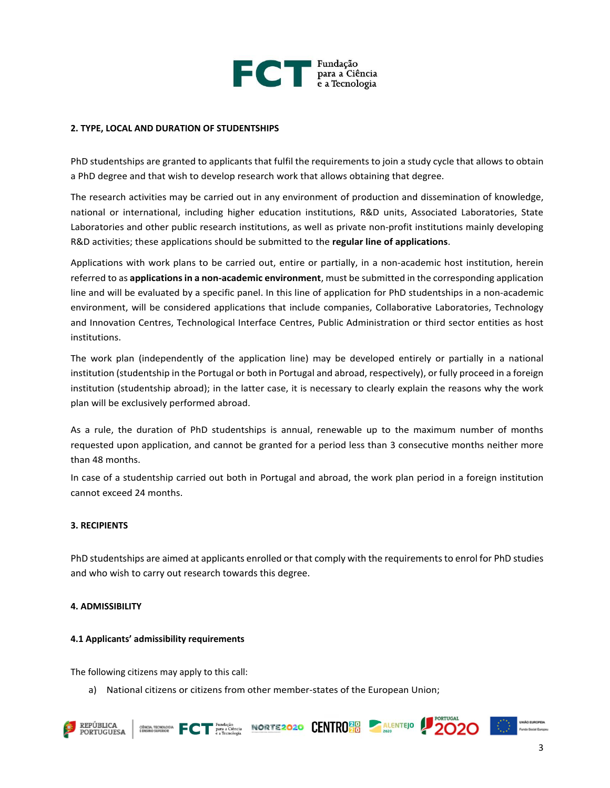

#### **2. TYPE, LOCAL AND DURATION OF STUDENTSHIPS**

PhD studentships are granted to applicants that fulfil the requirements to join a study cycle that allows to obtain a PhD degree and that wish to develop research work that allows obtaining that degree.

The research activities may be carried out in any environment of production and dissemination of knowledge, national or international, including higher education institutions, R&D units, Associated Laboratories, State Laboratories and other public research institutions, as well as private non-profit institutions mainly developing R&D activities; these applications should be submitted to the **regular line of applications**.

Applications with work plans to be carried out, entire or partially, in a non-academic host institution, herein referred to as **applications in a non-academic environment**, must be submitted in the corresponding application line and will be evaluated by a specific panel. In this line of application for PhD studentships in a non-academic environment, will be considered applications that include companies, Collaborative Laboratories, Technology and Innovation Centres, Technological Interface Centres, Public Administration or third sector entities as host institutions.

The work plan (independently of the application line) may be developed entirely or partially in a national institution (studentship in the Portugal or both in Portugal and abroad, respectively), or fully proceed in a foreign institution (studentship abroad); in the latter case, it is necessary to clearly explain the reasons why the work plan will be exclusively performed abroad.

As a rule, the duration of PhD studentships is annual, renewable up to the maximum number of months requested upon application, and cannot be granted for a period less than 3 consecutive months neither more than 48 months.

In case of a studentship carried out both in Portugal and abroad, the work plan period in a foreign institution cannot exceed 24 months.

#### **3. RECIPIENTS**

PhD studentships are aimed at applicants enrolled or that comply with the requirements to enrol for PhD studies and who wish to carry out research towards this degree.

#### **4. ADMISSIBILITY**

#### **4.1 Applicants' admissibility requirements**

The following citizens may apply to this call:

a) National citizens or citizens from other member-states of the European Union;







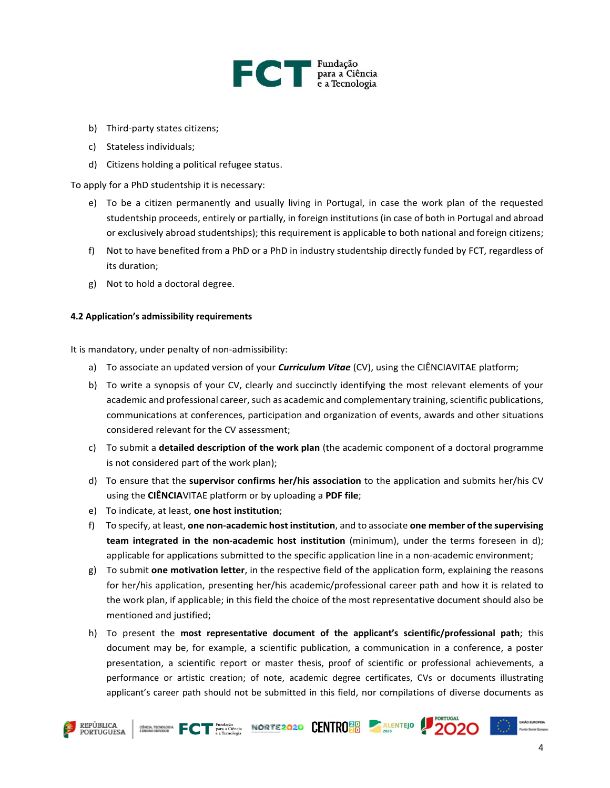

- b) Third-party states citizens;
- c) Stateless individuals;
- d) Citizens holding a political refugee status.

To apply for a PhD studentship it is necessary:

- e) To be a citizen permanently and usually living in Portugal, in case the work plan of the requested studentship proceeds, entirely or partially, in foreign institutions (in case of both in Portugal and abroad or exclusively abroad studentships); this requirement is applicable to both national and foreign citizens;
- f) Not to have benefited from a PhD or a PhD in industry studentship directly funded by FCT, regardless of its duration;
- g) Not to hold a doctoral degree.

#### **4.2 Application's admissibility requirements**

It is mandatory, under penalty of non-admissibility:

- a) To associate an updated version of your *Curriculum Vitae* (CV), using the CIÊNCIAVITAE platform;
- b) To write a synopsis of your CV, clearly and succinctly identifying the most relevant elements of your academic and professional career, such as academic and complementary training, scientific publications, communications at conferences, participation and organization of events, awards and other situations considered relevant for the CV assessment;
- c) To submit a **detailed description of the work plan** (the academic component of a doctoral programme is not considered part of the work plan);
- d) To ensure that the **supervisor confirms her/his association** to the application and submits her/his CV using the **CIÊNCIA**VITAE platform or by uploading a **PDF file**;
- e) To indicate, at least, **one host institution**;
- f) To specify, at least, **one non-academic host institution**, and to associate **one member of the supervising team integrated in the non-academic host institution** (minimum), under the terms foreseen in d); applicable for applications submitted to the specific application line in a non-academic environment;
- g) To submit **one motivation letter**, in the respective field of the application form, explaining the reasons for her/his application, presenting her/his academic/professional career path and how it is related to the work plan, if applicable; in this field the choice of the most representative document should also be mentioned and justified;
- h) To present the **most representative document of the applicant's scientific/professional path**; this document may be, for example, a scientific publication, a communication in a conference, a poster presentation, a scientific report or master thesis, proof of scientific or professional achievements, a performance or artistic creation; of note, academic degree certificates, CVs or documents illustrating applicant's career path should not be submitted in this field, nor compilations of diverse documents as





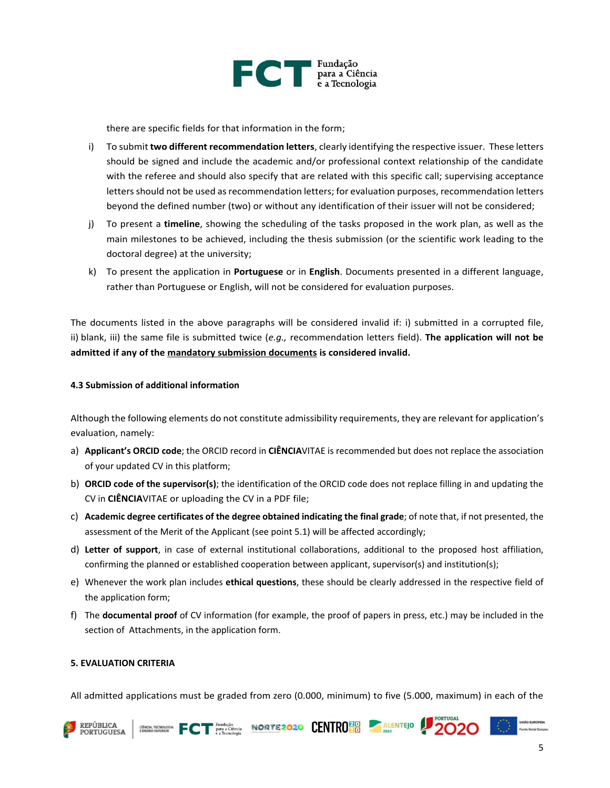

there are specific fields for that information in the form;

- i) To submit **two different recommendation letters**, clearly identifying the respective issuer. These letters should be signed and include the academic and/or professional context relationship of the candidate with the referee and should also specify that are related with this specific call; supervising acceptance letters should not be used as recommendation letters; for evaluation purposes, recommendation letters beyond the defined number (two) or without any identification of their issuer will not be considered;
- j) To present a **timeline**, showing the scheduling of the tasks proposed in the work plan, as well as the main milestones to be achieved, including the thesis submission (or the scientific work leading to the doctoral degree) at the university;
- k) To present the application in **Portuguese** or in **English**. Documents presented in a different language, rather than Portuguese or English, will not be considered for evaluation purposes.

The documents listed in the above paragraphs will be considered invalid if: i) submitted in a corrupted file, ii) blank, iii) the same file is submitted twice (*e.g.,* recommendation letters field). **The application will not be admitted if any of the mandatory submission documents is considered invalid.**

#### **4.3 Submission of additional information**

Although the following elements do not constitute admissibility requirements, they are relevant for application's evaluation, namely:

- a) **Applicant's ORCID code**; the ORCID record in **CIÊNCIA**VITAE is recommended but does not replace the association of your updated CV in this platform;
- b) **ORCID code of the supervisor(s)**; the identification of the ORCID code does not replace filling in and updating the CV in **CIÊNCIA**VITAE or uploading the CV in a PDF file;
- c) **Academic degree certificates of the degree obtained indicating the final grade**; of note that, if not presented, the assessment of the Merit of the Applicant (see point 5.1) will be affected accordingly;
- d) **Letter of support**, in case of external institutional collaborations, additional to the proposed host affiliation, confirming the planned or established cooperation between applicant, supervisor(s) and institution(s);
- e) Whenever the work plan includes **ethical questions**, these should be clearly addressed in the respective field of the application form;
- f) The **documental proof** of CV information (for example, the proof of papers in press, etc.) may be included in the section of Attachments, in the application form.

#### **5. EVALUATION CRITERIA**

All admitted applications must be graded from zero (0.000, minimum) to five (5.000, maximum) in each of the





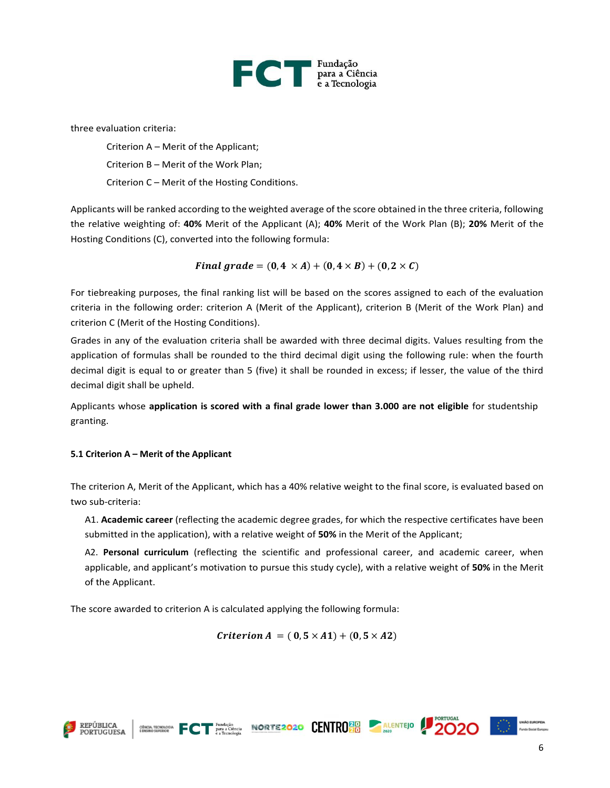

three evaluation criteria:

Criterion A – Merit of the Applicant; Criterion B – Merit of the Work Plan; Criterion C – Merit of the Hosting Conditions.

Applicants will be ranked according to the weighted average of the score obtained in the three criteria, following the relative weighting of: **40%** Merit of the Applicant (A); **40%** Merit of the Work Plan (B); **20%** Merit of the Hosting Conditions (C), converted into the following formula:

$$
Final\,grade = (0,4 \times A) + (0,4 \times B) + (0,2 \times C)
$$

For tiebreaking purposes, the final ranking list will be based on the scores assigned to each of the evaluation criteria in the following order: criterion A (Merit of the Applicant), criterion B (Merit of the Work Plan) and criterion C (Merit of the Hosting Conditions).

Grades in any of the evaluation criteria shall be awarded with three decimal digits. Values resulting from the application of formulas shall be rounded to the third decimal digit using the following rule: when the fourth decimal digit is equal to or greater than 5 (five) it shall be rounded in excess; if lesser, the value of the third decimal digit shall be upheld.

Applicants whose **application is scored with a final grade lower than 3.000 are not eligible** for studentship granting.

### **5.1 Criterion A – Merit of the Applicant**

The criterion A, Merit of the Applicant, which has a 40% relative weight to the final score, is evaluated based on two sub-criteria:

A1. **Academic career** (reflecting the academic degree grades, for which the respective certificates have been submitted in the application), with a relative weight of **50%** in the Merit of the Applicant;

A2. **Personal curriculum** (reflecting the scientific and professional career, and academic career, when applicable, and applicant's motivation to pursue this study cycle), with a relative weight of **50%** in the Merit of the Applicant.

The score awarded to criterion A is calculated applying the following formula:

*Criterion A* = ( $0, 5 \times A1$ ) + ( $0, 5 \times A2$ )





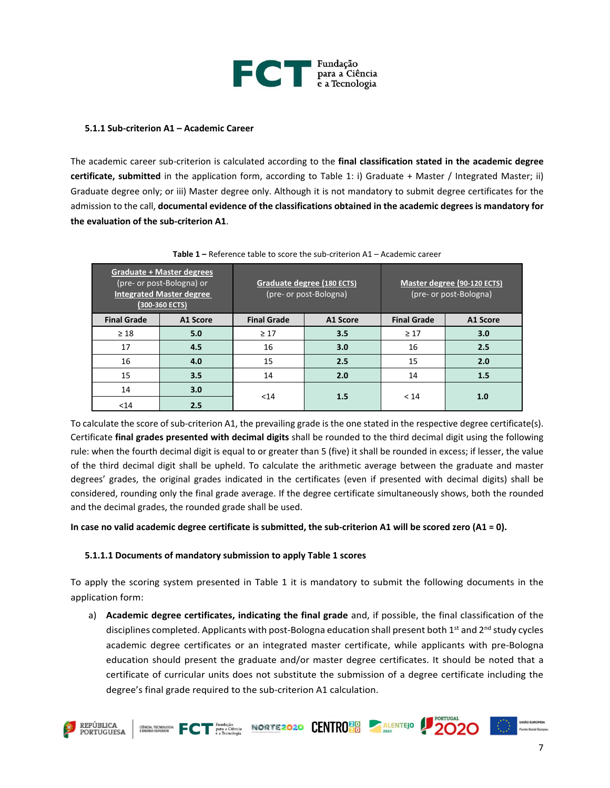

#### **5.1.1 Sub-criterion A1 – Academic Career**

The academic career sub-criterion is calculated according to the **final classification stated in the academic degree certificate, submitted** in the application form, according to Table 1: i) Graduate + Master / Integrated Master; ii) Graduate degree only; or iii) Master degree only. Although it is not mandatory to submit degree certificates for the admission to the call, **documental evidence of the classifications obtained in the academic degrees is mandatory for the evaluation of the sub-criterion A1**.

| <b>Graduate + Master degrees</b><br>(pre- or post-Bologna) or<br><b>Integrated Master degree</b><br>(300-360 ECTS) |          | Graduate degree (180 ECTS)<br>(pre- or post-Bologna) |          | Master degree (90-120 ECTS)<br>(pre- or post-Bologna) |          |
|--------------------------------------------------------------------------------------------------------------------|----------|------------------------------------------------------|----------|-------------------------------------------------------|----------|
| <b>Final Grade</b>                                                                                                 | A1 Score | <b>Final Grade</b>                                   | A1 Score | <b>Final Grade</b>                                    | A1 Score |
| $\geq 18$                                                                                                          | 5.0      | $\geq 17$                                            | 3.5      | $\geq 17$                                             | 3.0      |
| 17                                                                                                                 | 4.5      | 16                                                   | 3.0      | 16                                                    | 2.5      |
| 16                                                                                                                 | 4.0      | 15                                                   | 2.5      | 15                                                    | 2.0      |
| 15                                                                                                                 | 3.5      | 14                                                   | 2.0      | 14                                                    | 1.5      |
| 14                                                                                                                 | 3.0      | $14$                                                 | 1.5      | < 14                                                  | 1.0      |
| $14$                                                                                                               | 2.5      |                                                      |          |                                                       |          |

**Table 1 –** Reference table to score the sub-criterion A1 – Academic career

To calculate the score of sub-criterion A1, the prevailing grade is the one stated in the respective degree certificate(s). Certificate **final grades presented with decimal digits** shall be rounded to the third decimal digit using the following rule: when the fourth decimal digit is equal to or greater than 5 (five) it shall be rounded in excess; if lesser, the value of the third decimal digit shall be upheld. To calculate the arithmetic average between the graduate and master degrees' grades, the original grades indicated in the certificates (even if presented with decimal digits) shall be considered, rounding only the final grade average. If the degree certificate simultaneously shows, both the rounded and the decimal grades, the rounded grade shall be used.

#### **In case no valid academic degree certificate is submitted, the sub-criterion A1 will be scored zero (A1 = 0).**

#### **5.1.1.1 Documents of mandatory submission to apply Table 1 scores**

To apply the scoring system presented in Table 1 it is mandatory to submit the following documents in the application form:

a) **Academic degree certificates, indicating the final grade** and, if possible, the final classification of the disciplines completed. Applicants with post-Bologna education shall present both  $1<sup>st</sup>$  and  $2<sup>nd</sup>$  study cycles academic degree certificates or an integrated master certificate, while applicants with pre-Bologna education should present the graduate and/or master degree certificates. It should be noted that a certificate of curricular units does not substitute the submission of a degree certificate including the degree's final grade required to the sub-criterion A1 calculation.





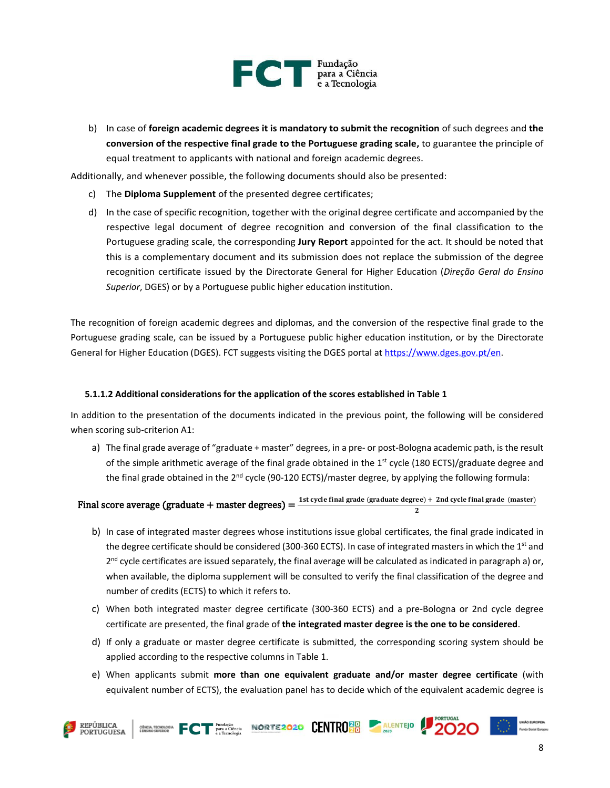

b) In case of **foreign academic degrees it is mandatory to submit the recognition** of such degrees and **the conversion of the respective final grade to the Portuguese grading scale,** to guarantee the principle of equal treatment to applicants with national and foreign academic degrees.

Additionally, and whenever possible, the following documents should also be presented:

- c) The **Diploma Supplement** of the presented degree certificates;
- d) In the case of specific recognition, together with the original degree certificate and accompanied by the respective legal document of degree recognition and conversion of the final classification to the Portuguese grading scale, the corresponding **Jury Report** appointed for the act. It should be noted that this is a complementary document and its submission does not replace the submission of the degree recognition certificate issued by the Directorate General for Higher Education (*Direção Geral do Ensino Superior*, DGES) or by a Portuguese public higher education institution.

The recognition of foreign academic degrees and diplomas, and the conversion of the respective final grade to the Portuguese grading scale, can be issued by a Portuguese public higher education institution, or by the Directorate General for Higher Education (DGES). FCT suggests visiting the DGES portal at [https://www.dges.gov.pt/en.](https://www.dges.gov.pt/en)

#### **5.1.1.2 Additional considerations for the application of the scores established in Table 1**

In addition to the presentation of the documents indicated in the previous point, the following will be considered when scoring sub-criterion A1:

a) The final grade average of "graduate + master" degrees, in a pre- or post-Bologna academic path, is the result of the simple arithmetic average of the final grade obtained in the 1<sup>st</sup> cycle (180 ECTS)/graduate degree and the final grade obtained in the  $2<sup>nd</sup>$  cycle (90-120 ECTS)/master degree, by applying the following formula:

# Final score average (graduate + master degrees) =  $\frac{1 \text{st cycle final grade (graduate degree)} + 2 \text{nd cycle final grade (master)}}{2}$

- b) In case of integrated master degrees whose institutions issue global certificates, the final grade indicated in the degree certificate should be considered (300-360 ECTS). In case of integrated masters in which the 1<sup>st</sup> and 2<sup>nd</sup> cycle certificates are issued separately, the final average will be calculated as indicated in paragraph a) or, when available, the diploma supplement will be consulted to verify the final classification of the degree and number of credits (ECTS) to which it refers to.
- c) When both integrated master degree certificate (300-360 ECTS) and a pre-Bologna or 2nd cycle degree certificate are presented, the final grade of **the integrated master degree is the one to be considered**.
- d) If only a graduate or master degree certificate is submitted, the corresponding scoring system should be applied according to the respective columns in Table 1.
- e) When applicants submit **more than one equivalent graduate and/or master degree certificate** (with equivalent number of ECTS), the evaluation panel has to decide which of the equivalent academic degree is





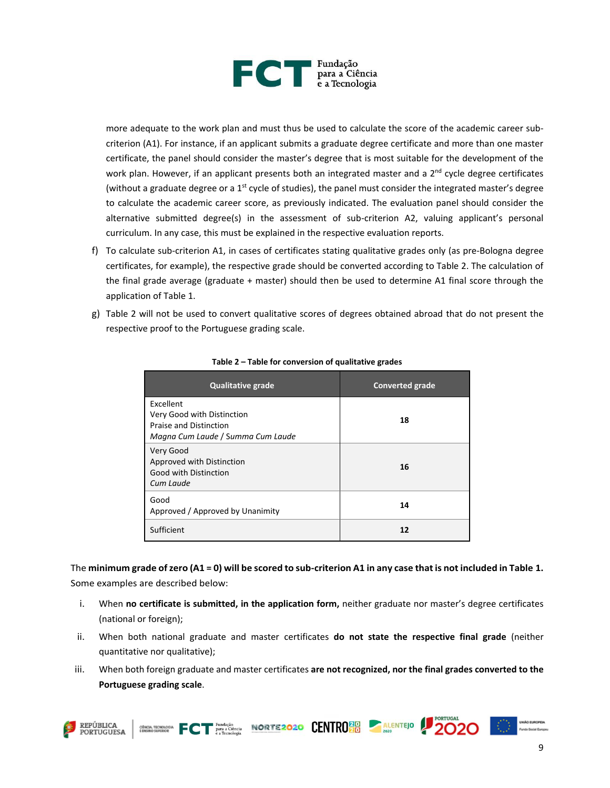

more adequate to the work plan and must thus be used to calculate the score of the academic career subcriterion (A1). For instance, if an applicant submits a graduate degree certificate and more than one master certificate, the panel should consider the master's degree that is most suitable for the development of the work plan. However, if an applicant presents both an integrated master and a 2<sup>nd</sup> cycle degree certificates (without a graduate degree or a  $1<sup>st</sup>$  cycle of studies), the panel must consider the integrated master's degree to calculate the academic career score, as previously indicated. The evaluation panel should consider the alternative submitted degree(s) in the assessment of sub-criterion A2, valuing applicant's personal curriculum. In any case, this must be explained in the respective evaluation reports.

- f) To calculate sub-criterion A1, in cases of certificates stating qualitative grades only (as pre-Bologna degree certificates, for example), the respective grade should be converted according to Table 2. The calculation of the final grade average (graduate + master) should then be used to determine A1 final score through the application of Table 1.
- g) Table 2 will not be used to convert qualitative scores of degrees obtained abroad that do not present the respective proof to the Portuguese grading scale.

| <b>Qualitative grade</b>                                                                               | <b>Converted grade</b> |
|--------------------------------------------------------------------------------------------------------|------------------------|
| Excellent<br>Very Good with Distinction<br>Praise and Distinction<br>Magna Cum Laude / Summa Cum Laude | 18                     |
| Very Good<br>Approved with Distinction<br>Good with Distinction<br>Cum Laude                           | 16                     |
| Good<br>Approved / Approved by Unanimity                                                               | 14                     |
| Sufficient                                                                                             | 12                     |

**Table 2 – Table for conversion of qualitative grades**

The **minimum grade of zero (A1 = 0) will be scored to sub-criterion A1 in any case that is not included in Table 1.**  Some examples are described below:

- i. When **no certificate is submitted, in the application form,** neither graduate nor master's degree certificates (national or foreign);
- ii. When both national graduate and master certificates **do not state the respective final grade** (neither quantitative nor qualitative);
- iii. When both foreign graduate and master certificates **are not recognized, nor the final grades converted to the Portuguese grading scale**.



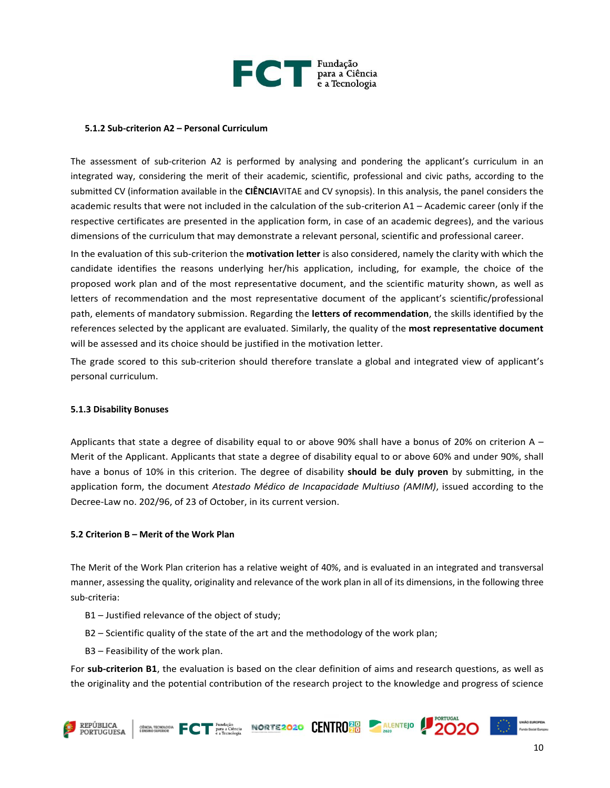

#### **5.1.2 Sub-criterion A2 – Personal Curriculum**

The assessment of sub-criterion A2 is performed by analysing and pondering the applicant's curriculum in an integrated way, considering the merit of their academic, scientific, professional and civic paths, according to the submitted CV (information available in the **CIÊNCIA**VITAE and CV synopsis). In this analysis, the panel considers the academic results that were not included in the calculation of the sub-criterion A1 – Academic career (only if the respective certificates are presented in the application form, in case of an academic degrees), and the various dimensions of the curriculum that may demonstrate a relevant personal, scientific and professional career.

In the evaluation of this sub-criterion the **motivation letter** is also considered, namely the clarity with which the candidate identifies the reasons underlying her/his application, including, for example, the choice of the proposed work plan and of the most representative document, and the scientific maturity shown, as well as letters of recommendation and the most representative document of the applicant's scientific/professional path, elements of mandatory submission. Regarding the **letters of recommendation**, the skills identified by the references selected by the applicant are evaluated. Similarly, the quality of the **most representative document** will be assessed and its choice should be justified in the motivation letter.

The grade scored to this sub-criterion should therefore translate a global and integrated view of applicant's personal curriculum.

#### **5.1.3 Disability Bonuses**

Applicants that state a degree of disability equal to or above 90% shall have a bonus of 20% on criterion A – Merit of the Applicant. Applicants that state a degree of disability equal to or above 60% and under 90%, shall have a bonus of 10% in this criterion. The degree of disability **should be duly proven** by submitting, in the application form, the document *Atestado Médico de Incapacidade Multiuso (AMIM)*, issued according to the Decree-Law no. 202/96, of 23 of October, in its current version.

#### **5.2 Criterion B – Merit of the Work Plan**

The Merit of the Work Plan criterion has a relative weight of 40%, and is evaluated in an integrated and transversal manner, assessing the quality, originality and relevance of the work plan in all of its dimensions, in the following three sub-criteria:

- B1 Justified relevance of the object of study;
- B2 Scientific quality of the state of the art and the methodology of the work plan;
- B3 Feasibility of the work plan.

For **sub-criterion B1**, the evaluation is based on the clear definition of aims and research questions, as well as the originality and the potential contribution of the research project to the knowledge and progress of science

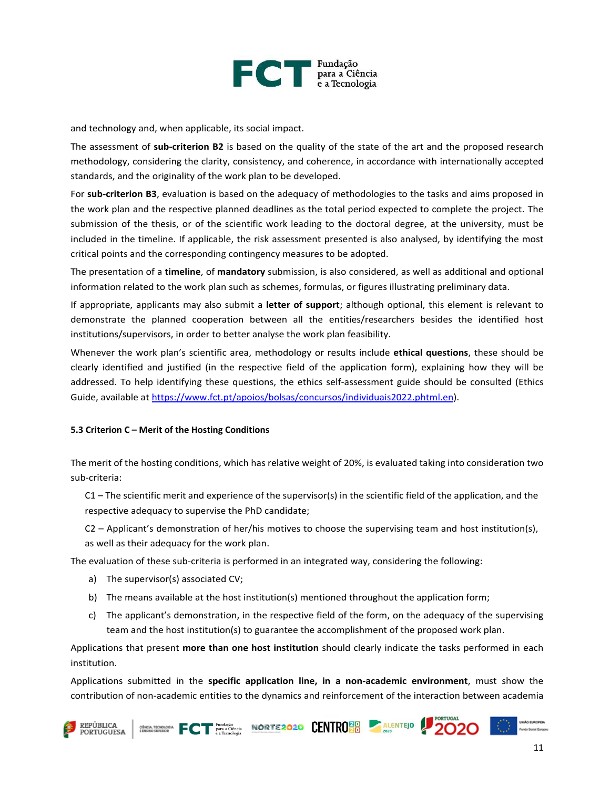

and technology and, when applicable, its social impact.

The assessment of **sub-criterion B2** is based on the quality of the state of the art and the proposed research methodology, considering the clarity, consistency, and coherence, in accordance with internationally accepted standards, and the originality of the work plan to be developed.

For **sub-criterion B3**, evaluation is based on the adequacy of methodologies to the tasks and aims proposed in the work plan and the respective planned deadlines as the total period expected to complete the project. The submission of the thesis, or of the scientific work leading to the doctoral degree, at the university, must be included in the timeline. If applicable, the risk assessment presented is also analysed, by identifying the most critical points and the corresponding contingency measures to be adopted.

The presentation of a **timeline**, of **mandatory** submission, is also considered, as well as additional and optional information related to the work plan such as schemes, formulas, or figures illustrating preliminary data.

If appropriate, applicants may also submit a **letter of support**; although optional, this element is relevant to demonstrate the planned cooperation between all the entities/researchers besides the identified host institutions/supervisors, in order to better analyse the work plan feasibility.

Whenever the work plan's scientific area, methodology or results include **ethical questions**, these should be clearly identified and justified (in the respective field of the application form), explaining how they will be addressed. To help identifying these questions, the ethics self-assessment guide should be consulted (Ethics Guide, available at [https://www.fct.pt/apoios/bolsas/concursos/individuais2022.phtml.en\)](https://www.fct.pt/apoios/bolsas/concursos/individuais2022.phtml.en).

#### **5.3 Criterion C – Merit of the Hosting Conditions**

The merit of the hosting conditions, which has relative weight of 20%, is evaluated taking into consideration two sub-criteria:

 $C1$  – The scientific merit and experience of the supervisor(s) in the scientific field of the application, and the respective adequacy to supervise the PhD candidate;

C2 – Applicant's demonstration of her/his motives to choose the supervising team and host institution(s), as well as their adequacy for the work plan.

The evaluation of these sub-criteria is performed in an integrated way, considering the following:

- a) The supervisor(s) associated CV;
- b) The means available at the host institution(s) mentioned throughout the application form;
- c) The applicant's demonstration, in the respective field of the form, on the adequacy of the supervising team and the host institution(s) to guarantee the accomplishment of the proposed work plan.

Applications that present **more than one host institution** should clearly indicate the tasks performed in each institution.

Applications submitted in the **specific application line, in a non-academic environment**, must show the contribution of non-academic entities to the dynamics and reinforcement of the interaction between academia







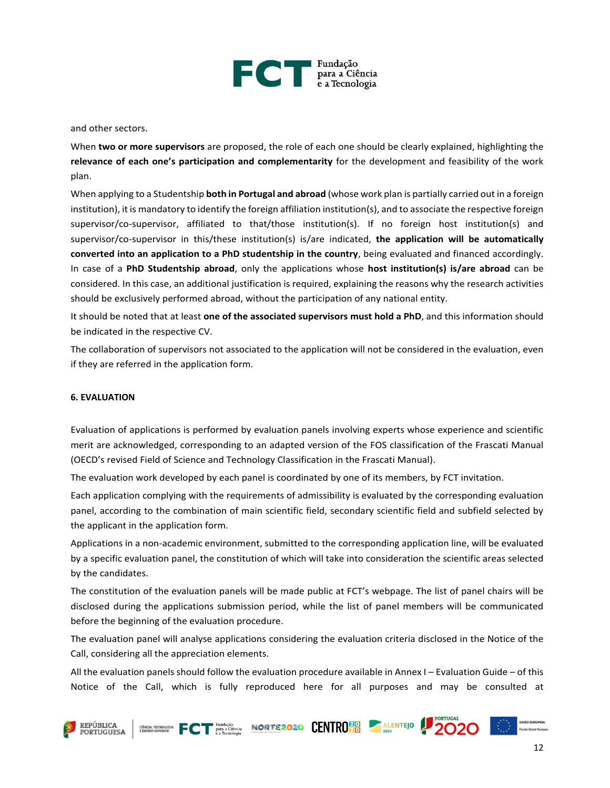

and other sectors.

When **two or more supervisors** are proposed, the role of each one should be clearly explained, highlighting the **relevance of each one's participation and complementarity** for the development and feasibility of the work plan.

When applying to a Studentship **both in Portugal and abroad** (whose work plan is partially carried out in a foreign institution), it is mandatory to identify the foreign affiliation institution(s), and to associate the respective foreign supervisor/co-supervisor, affiliated to that/those institution(s). If no foreign host institution(s) and supervisor/co-supervisor in this/these institution(s) is/are indicated, **the application will be automatically converted into an application to a PhD studentship in the country**, being evaluated and financed accordingly. In case of a **PhD Studentship abroad**, only the applications whose **host institution(s) is/are abroad** can be considered. In this case, an additional justification is required, explaining the reasons why the research activities should be exclusively performed abroad, without the participation of any national entity.

It should be noted that at least **one of the associated supervisors must hold a PhD**, and this information should be indicated in the respective CV.

The collaboration of supervisors not associated to the application will not be considered in the evaluation, even if they are referred in the application form.

#### **6. EVALUATION**

Evaluation of applications is performed by evaluation panels involving experts whose experience and scientific merit are acknowledged, corresponding to an adapted version of the FOS classification of the Frascati Manual (OECD's revised Field of Science and Technology Classification in the Frascati Manual).

The evaluation work developed by each panel is coordinated by one of its members, by FCT invitation.

Each application complying with the requirements of admissibility is evaluated by the corresponding evaluation panel, according to the combination of main scientific field, secondary scientific field and subfield selected by the applicant in the application form.

Applications in a non-academic environment, submitted to the corresponding application line, will be evaluated by a specific evaluation panel, the constitution of which will take into consideration the scientific areas selected by the candidates.

The constitution of the evaluation panels will be made public at FCT's webpage. The list of panel chairs will be disclosed during the applications submission period, while the list of panel members will be communicated before the beginning of the evaluation procedure.

The evaluation panel will analyse applications considering the evaluation criteria disclosed in the Notice of the Call, considering all the appreciation elements.

All the evaluation panels should follow the evaluation procedure available in Annex I – Evaluation Guide – of this Notice of the Call, which is fully reproduced here for all purposes and may be consulted at

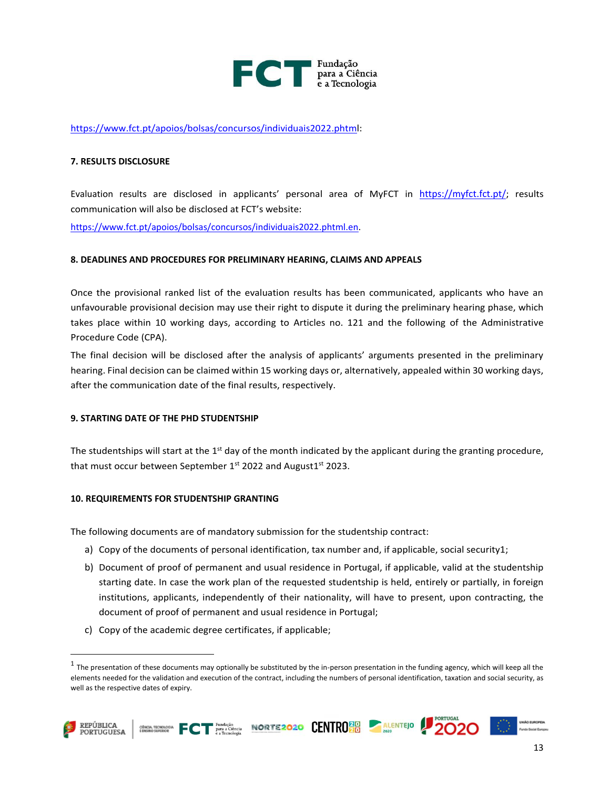

[https://www.fct.pt/apoios/bolsas/concursos/individuais2022.phtml:](https://www.fct.pt/apoios/bolsas/concursos/individuais2022.phtml.pt)

#### **7. RESULTS DISCLOSURE**

Evaluation results are disclosed in applicants' personal area of MyFCT in <https://myfct.fct.pt/>; results communication will also be disclosed at FCT's website:

[https://www.fct.pt/apoios/bolsas/concursos/individuais2022.phtml.en.](https://www.fct.pt/apoios/bolsas/concursos/individuais2022.phtml.en)

#### **8. DEADLINES AND PROCEDURES FOR PRELIMINARY HEARING, CLAIMS AND APPEALS**

Once the provisional ranked list of the evaluation results has been communicated, applicants who have an unfavourable provisional decision may use their right to dispute it during the preliminary hearing phase, which takes place within 10 working days, according to Articles no. 121 and the following of the Administrative Procedure Code (CPA).

The final decision will be disclosed after the analysis of applicants' arguments presented in the preliminary hearing. Final decision can be claimed within 15 working days or, alternatively, appealed within 30 working days, after the communication date of the final results, respectively.

#### **9. STARTING DATE OF THE PHD STUDENTSHIP**

The studentships will start at the  $1<sup>st</sup>$  day of the month indicated by the applicant during the granting procedure, that must occur between September 1st 2022 and August1st 2023.

#### **10. REQUIREMENTS FOR STUDENTSHIP GRANTING**

The following documents are of mandatory submission for the studentship contract:

- a) Copy of the documents of personal identification, tax number and, if applicable, social security1;
- b) Document of proof of permanent and usual residence in Portugal, if applicable, valid at the studentship starting date. In case the work plan of the requested studentship is held, entirely or partially, in foreign institutions, applicants, independently of their nationality, will have to present, upon contracting, the document of proof of permanent and usual residence in Portugal;
- c) Copy of the academic degree certificates, if applicable;

 $^1$  The presentation of these documents may optionally be substituted by the in-person presentation in the funding agency, which will keep all the elements needed for the validation and execution of the contract, including the numbers of personal identification, taxation and social security, as well as the respective dates of expiry.







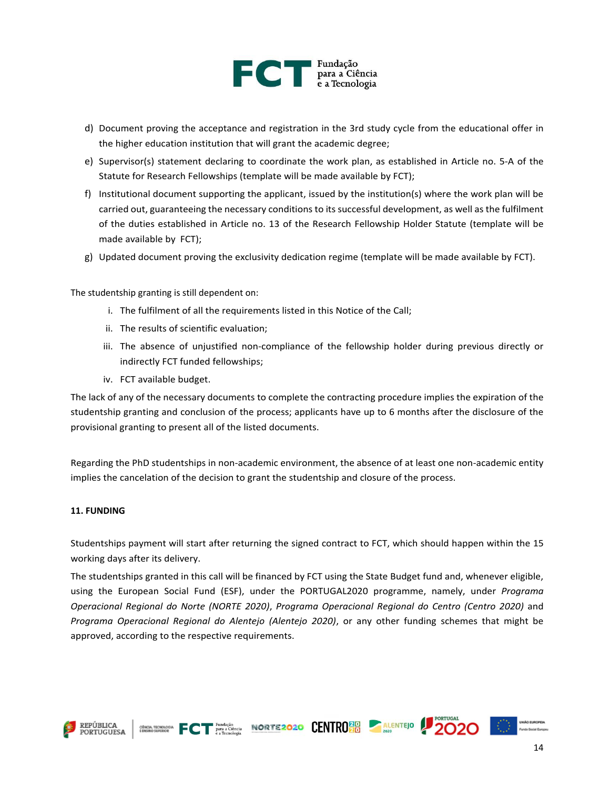

- d) Document proving the acceptance and registration in the 3rd study cycle from the educational offer in the higher education institution that will grant the academic degree;
- e) Supervisor(s) statement declaring to coordinate the work plan, as established in Article no. 5-A of the Statute for Research Fellowships (template will be made available by FCT);
- f) Institutional document supporting the applicant, issued by the institution(s) where the work plan will be carried out, guaranteeing the necessary conditions to its successful development, as well as the fulfilment of the duties established in Article no. 13 of the Research Fellowship Holder Statute (template will be made available by FCT);
- g) Updated document proving the exclusivity dedication regime (template will be made available by FCT).

The studentship granting is still dependent on:

- i. The fulfilment of all the requirements listed in this Notice of the Call;
- ii. The results of scientific evaluation;
- iii. The absence of unjustified non-compliance of the fellowship holder during previous directly or indirectly FCT funded fellowships;
- iv. FCT available budget.

The lack of any of the necessary documents to complete the contracting procedure implies the expiration of the studentship granting and conclusion of the process; applicants have up to 6 months after the disclosure of the provisional granting to present all of the listed documents.

Regarding the PhD studentships in non-academic environment, the absence of at least one non-academic entity implies the cancelation of the decision to grant the studentship and closure of the process.

#### **11. FUNDING**

Studentships payment will start after returning the signed contract to FCT, which should happen within the 15 working days after its delivery.

The studentships granted in this call will be financed by FCT using the State Budget fund and, whenever eligible, using the European Social Fund (ESF), under the PORTUGAL2020 programme, namely, under *Programa Operacional Regional do Norte (NORTE 2020)*, *Programa Operacional Regional do Centro (Centro 2020)* and *Programa Operacional Regional do Alentejo (Alentejo 2020)*, or any other funding schemes that might be approved, according to the respective requirements.

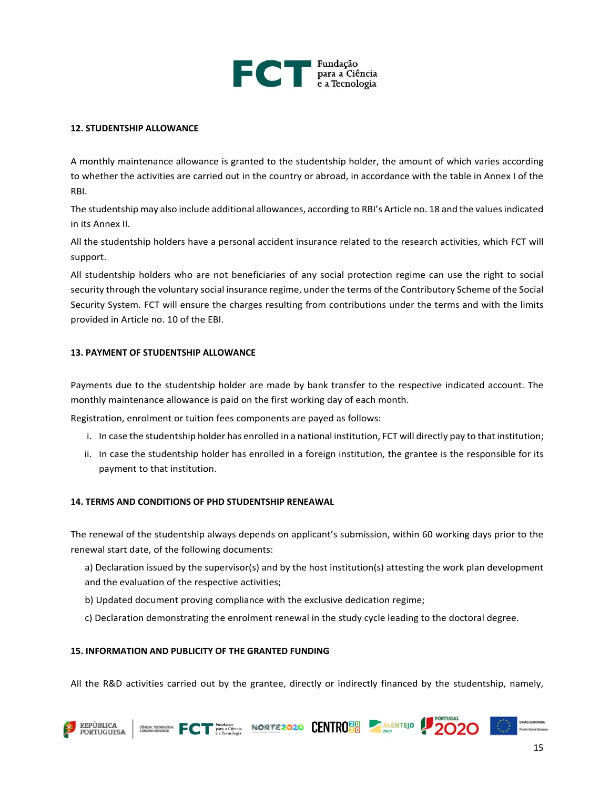

#### **12. STUDENTSHIP ALLOWANCE**

A monthly maintenance allowance is granted to the studentship holder, the amount of which varies according to whether the activities are carried out in the country or abroad, in accordance with the table in Annex I of the RBI.

The studentship may also include additional allowances, according to RBI's Article no. 18 and the values indicated in its Annex II.

All the studentship holders have a personal accident insurance related to the research activities, which FCT will support.

All studentship holders who are not beneficiaries of any social protection regime can use the right to social security through the voluntary social insurance regime, under the terms of the Contributory Scheme of the Social Security System. FCT will ensure the charges resulting from contributions under the terms and with the limits provided in Article no. 10 of the EBI.

#### **13. PAYMENT OF STUDENTSHIP ALLOWANCE**

Payments due to the studentship holder are made by bank transfer to the respective indicated account. The monthly maintenance allowance is paid on the first working day of each month.

Registration, enrolment or tuition fees components are payed as follows:

- i. In case the studentship holder has enrolled in a national institution, FCT will directly pay to that institution;
- ii. In case the studentship holder has enrolled in a foreign institution, the grantee is the responsible for its payment to that institution.

#### **14. TERMS AND CONDITIONS OF PHD STUDENTSHIP RENEAWAL**

The renewal of the studentship always depends on applicant's submission, within 60 working days prior to the renewal start date, of the following documents:

- a) Declaration issued by the supervisor(s) and by the host institution(s) attesting the work plan development and the evaluation of the respective activities;
- b) Updated document proving compliance with the exclusive dedication regime;
- c) Declaration demonstrating the enrolment renewal in the study cycle leading to the doctoral degree.

#### **15. INFORMATION AND PUBLICITY OF THE GRANTED FUNDING**

All the R&D activities carried out by the grantee, directly or indirectly financed by the studentship, namely,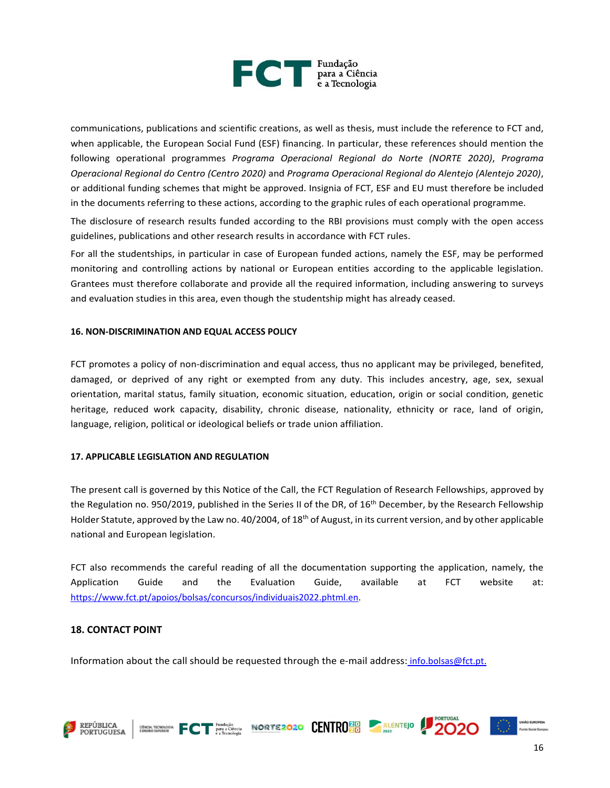

communications, publications and scientific creations, as well as thesis, must include the reference to FCT and, when applicable, the European Social Fund (ESF) financing. In particular, these references should mention the following operational programmes *Programa Operacional Regional do Norte (NORTE 2020)*, *Programa Operacional Regional do Centro (Centro 2020)* and *Programa Operacional Regional do Alentejo (Alentejo 2020)*, or additional funding schemes that might be approved. Insignia of FCT, ESF and EU must therefore be included in the documents referring to these actions, according to the graphic rules of each operational programme.

The disclosure of research results funded according to the RBI provisions must comply with the open access guidelines, publications and other research results in accordance with FCT rules.

For all the studentships, in particular in case of European funded actions, namely the ESF, may be performed monitoring and controlling actions by national or European entities according to the applicable legislation. Grantees must therefore collaborate and provide all the required information, including answering to surveys and evaluation studies in this area, even though the studentship might has already ceased.

#### **16. NON-DISCRIMINATION AND EQUAL ACCESS POLICY**

FCT promotes a policy of non-discrimination and equal access, thus no applicant may be privileged, benefited, damaged, or deprived of any right or exempted from any duty. This includes ancestry, age, sex, sexual orientation, marital status, family situation, economic situation, education, origin or social condition, genetic heritage, reduced work capacity, disability, chronic disease, nationality, ethnicity or race, land of origin, language, religion, political or ideological beliefs or trade union affiliation.

#### **17. APPLICABLE LEGISLATION AND REGULATION**

The present call is governed by this Notice of the Call, the FCT Regulation of Research Fellowships, approved by the Regulation no. 950/2019, published in the Series II of the DR, of 16<sup>th</sup> December, by the Research Fellowship Holder Statute, approved by the Law no. 40/2004, of 18<sup>th</sup> of August, in its current version, and by other applicable national and European legislation.

FCT also recommends the careful reading of all the documentation supporting the application, namely, the Application Guide and the Evaluation Guide, available at FCT website at: [https://www.fct.pt/apoios/bolsas/concursos/individuais2022.phtml.en.](https://www.fct.pt/apoios/bolsas/concursos/individuais2022.phtml.en)

### **18. CONTACT POINT**

Information about the call should be requested through the e-mail address: info.bolsas@fct.pt.